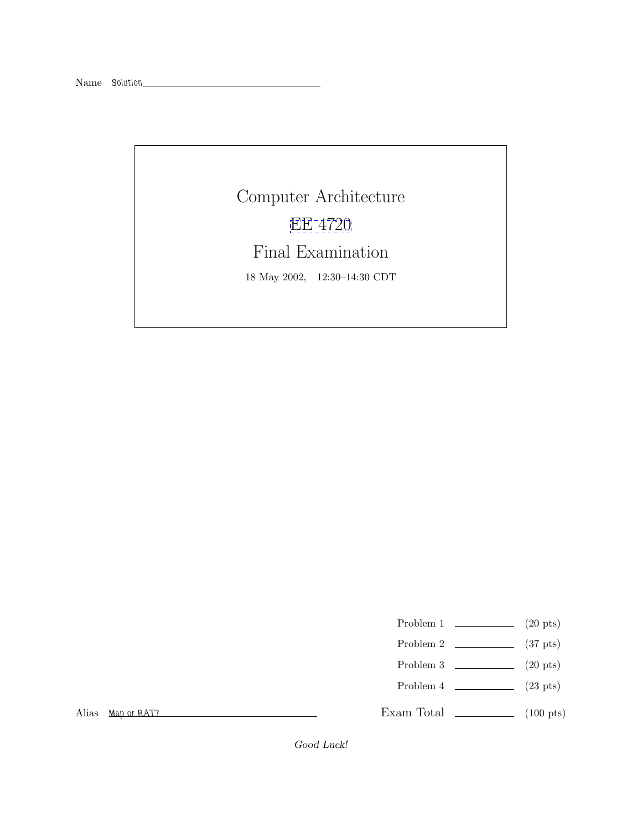Computer Architecture [EE 4720](http://www.ece.lsu.edu/ee4720/) Final Examination 18 May 2002, 12:30–14:30 CDT

Problem 1  $\qquad \qquad (20 \text{ pts})$ 

- Problem 2  $\qquad \qquad$  (37 pts)
- Problem 3  $\qquad \qquad (20 \text{ pts})$
- Problem  $4$  (23 pts)

Exam Total \_\_\_\_\_\_\_\_\_\_\_\_\_ (100 pts)

Alias *Map or RAT?*

*Good Luck!*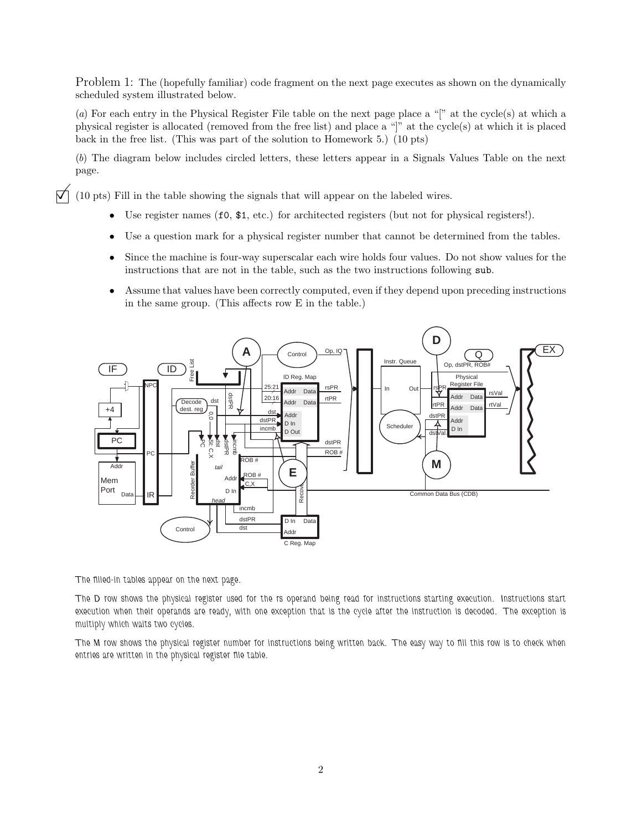Problem 1: The (hopefully familiar) code fragment on the next page executes as shown on the dynamically scheduled system illustrated below.

(*a*) For each entry in the Physical Register File table on the next page place a "[" at the cycle(s) at which a physical register is allocated (removed from the free list) and place a "]" at the cycle(s) at which it is placed back in the free list. (This was part of the solution to Homework 5.) (10 pts)

(*b*) The diagram below includes circled letters, these letters appear in a Signals Values Table on the next page.

 $\vec{\nabla}$  (10 pts) Fill in the table showing the signals that will appear on the labeled wires.

- Use register names (f0,  $\$ 1, etc.) for architected registers (but not for physical registers!).
- Use a question mark for a physical register number that cannot be determined from the tables.
- Since the machine is four-way superscalar each wire holds four values. Do not show values for the instructions that are not in the table, such as the two instructions following sub.
- Assume that values have been correctly computed, even if they depend upon preceding instructions in the same group. (This affects row E in the table.)



*The filled-in tables appear on the next page.*

*The D row shows the physical register used for the rs operand being read for instructions starting execution. Instructions start execution when their operands are ready, with one exception that is the cycle after the instruction is decoded. The exception is multiply which waits two cycles.*

*The M row shows the physical register number for instructions being written back. The easy way to fill this row is to check when entries are written in the physical register file table.*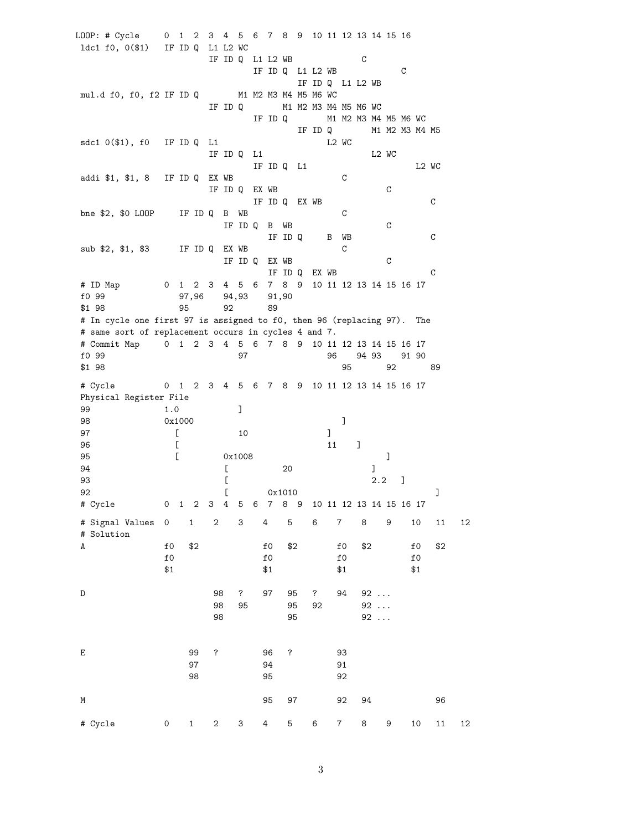LOOP: # Cycle 0 1 2 3 4 5 6 7 8 9 10 11 12 13 14 15 16 ldc1 f0, 0(\$1) IF ID Q L1 L2 WC IF ID Q L1 L2 WB C IF ID Q L1 L2 WB C IF ID Q L1 L2 WB mul.d f0, f0, f2 IF ID Q M1 M2 M3 M4 M5 M6 WC IF ID Q M1 M2 M3 M4 M5 M6 WC IF ID Q M1 M2 M3 M4 M5 M6 WC IF ID Q M1 M2 M3 M4 M5 sdc1 0(\$1), f0 IF ID Q L1 L2 WC IF IDQ L1 L2 WC IF ID Q L1 L2 WC addi \$1, \$1, 8 IF ID Q EX WB C IF ID Q EX WB C IF ID Q EX WB C bne \$2, \$0 LOOP IF ID Q B WB C IF ID Q B WB C IF ID Q B WB C sub \$2, \$1, \$3 IF ID Q EX WB C IF ID Q EX WB C IF ID Q EX WB C # ID Map 0 1 2 3 4 5 6 7 8 9 10 11 12 13 14 15 16 17 f0 99 97,96 94,93 91,90 \$1 98 95 92 89 # In cycle one first 97 is assigned to f0, then 96 (replacing 97). The # same sort of replacement occurs in cycles 4 and 7. # Commit Map 0 1 2 3 4 5 6 7 8 9 10 11 12 13 14 15 16 17 f0 99 97 96 94 93 91 90 \$1 98 95 92 89 # Cycle 0 1 2 3 4 5 6 7 8 9 10 11 12 13 14 15 16 17 Physical Register File 99 1.0 ] 98 0x1000 ] 97 [ 10 ] 96 [ 11 ] 95 [ 0x1008 ] 94 [ 20 ] 93 **[** 2.2 ] 92  $\left[ \right.$  0x1010  $\left[ \right.$ # Cycle 0 1 2 3 4 5 6 7 8 9 10 11 12 13 14 15 16 17 # Signal Values 0 1 2 3 4 5 6 7 8 9 10 11 12 # Solution A f0 \$2 f0 \$2 f0 \$2 f0 \$2 f0 f0 f0 f0  $$1$  \$1 \$1 \$1 D 98 ? 97 95 ? 94 92 ... 98 95 95 92 92 ... 98 95 92 ... E 99 ? 96 ? 93 97 94 91 98 95 92 M 95 97 92 94 96 # Cycle 0 1 2 3 4 5 6 7 8 9 10 11 12

3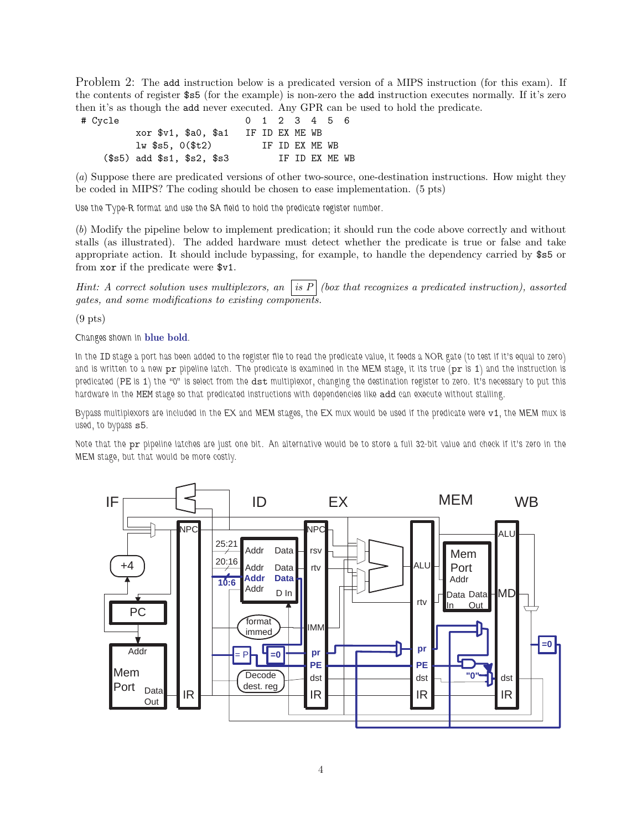Problem 2: The add instruction below is a predicated version of a MIPS instruction (for this exam). If the contents of register \$s5 (for the example) is non-zero the add instruction executes normally. If it's zero then it's as though the add never executed. Any GPR can be used to hold the predicate.

# Cycle 0 1 2 3 4 5 6 xor \$v1, \$a0, \$a1 IF ID EX ME WB lw \$s5, 0(\$t2) IF ID EX ME WB (\$s5) add \$s1, \$s2, \$s3 IF ID EX ME WB

(*a*) Suppose there are predicated versions of other two-source, one-destination instructions. How might they be coded in MIPS? The coding should be chosen to ease implementation. (5 pts)

*Use the Type-R format and use the SA field to hold the predicate register number.*

(*b*) Modify the pipeline below to implement predication; it should run the code above correctly and without stalls (as illustrated). The added hardware must detect whether the predicate is true or false and take appropriate action. It should include bypassing, for example, to handle the dependency carried by \$s5 or from xor if the predicate were \$v1.

*Hint: A correct solution uses multiplexors, an is P (box that recognizes a predicated instruction), assorted gates, and some modifications to existing components.*

 $(9$  pts)

*Changes shown in* **blue bold***.*

*In the* ID *stage a port has been added to the register file to read the predicate value, it feeds a NOR gate (to test if it's equal to zero)* and is written to a new pr pipeline latch. The predicate is examined in the MEM stage, it its true (pr is 1) and the instruction is *predicated (*PE *is* 1*) the "0" is select from the* dst *multiplexor, changing the destination register to zero. It's necessary to put this hardware in the* MEM *stage so that predicated instructions with dependencies like* add *can execute without stalling.*

*Bypass multiplexors are included in the EX and MEM stages, the EX mux would be used if the predicate were*  $v1$ , the MEM mux is *used, to bypass* s5*.*

*Note that the* pr *pipeline latches are just one bit. An alternative would be to store a full 32-bit value and check if it's zero in the MEM stage, but that would be more costly.*

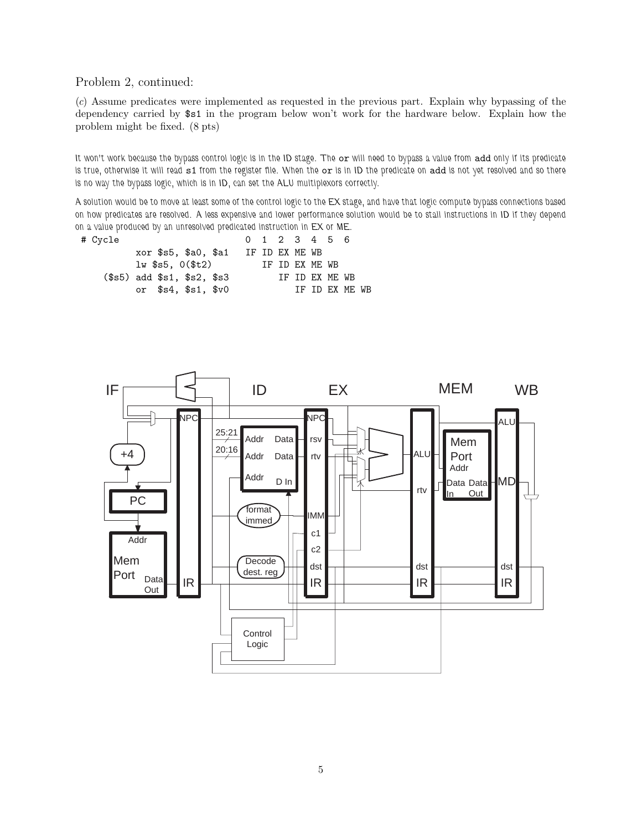Problem 2, continued:

(*c*) Assume predicates were implemented as requested in the previous part. Explain why bypassing of the dependency carried by \$s1 in the program below won't work for the hardware below. Explain how the problem might be fixed. (8 pts)

*It won't work because the bypass control logic is in the ID stage. The* or *will need to bypass a value from* add *only if its predicate is true, otherwise it will read* s1 *from the register file. When the* or *is in ID the predicate on* add *is not yet resolved and so there is no way the bypass logic, which is in ID, can set the ALU multiplexors correctly.*

*A solution would be to move at least some of the control logic to the EX stage, and have that logic compute bypass connections based on how predicates are resolved. A less expensive and lower performance solution would be to stall instructions in ID if they depend on a value produced by an unresolved predicated instruction in EX or ME.*

| # Cycle                             |  |  |                 | 0 1 2 3 4 5 6  |                |  |
|-------------------------------------|--|--|-----------------|----------------|----------------|--|
| xor \$s5, \$a0, \$a1 IF ID EX ME WB |  |  |                 |                |                |  |
| $1w$ \$s5, $0$ $($ \$t $2)$         |  |  | TF TD FX MF. WB |                |                |  |
| $($s5)$ add $$s1, $s2, $s3$         |  |  |                 | IF ID EX ME WB |                |  |
| or $$s4$ , $$s1$ , $$v0$            |  |  |                 |                | TF TD FX MF WB |  |

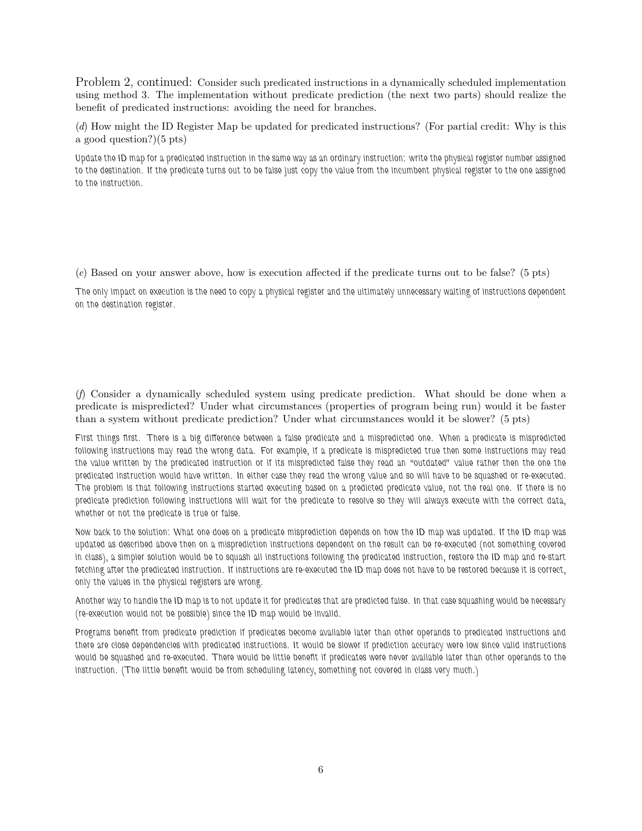Problem 2, continued: Consider such predicated instructions in a dynamically scheduled implementation using method 3. The implementation without predicate prediction (the next two parts) should realize the benefit of predicated instructions: avoiding the need for branches.

(*d*) How might the ID Register Map be updated for predicated instructions? (For partial credit: Why is this a good question?)(5 pts)

*Update the ID map for a predicated instruction in the same way as an ordinary instruction: write the physical register number assigned to the destination. If the predicate turns out to be false just copy the value from the incumbent physical register to the one assigned to the instruction.*

(*e*) Based on your answer above, how is execution affected if the predicate turns out to be false? (5 pts)

*The only impact on execution is the need to copy a physical register and the ultimately unnecessary waiting of instructions dependent on the destination register.*

(*f*) Consider a dynamically scheduled system using predicate prediction. What should be done when a predicate is mispredicted? Under what circumstances (properties of program being run) would it be faster than a system without predicate prediction? Under what circumstances would it be slower? (5 pts)

*First things first. There is a big difference between a false predicate and a mispredicted one. When a predicate is mispredicted following instructions may read the wrong data. For example, if a predicate is mispredicted true then some instructions may read the value written by the predicated instruction or if its mispredicted false they read an "outdated" value rather then the one the predicated instruction would have written. In either case they read the wrong value and so will have to be squashed or re-executed. The problem is that following instructions started executing based on a predicted predicate value, not the real one. If there is no predicate prediction following instructions will wait for the predicate to resolve so they will always execute with the correct data, whether or not the predicate is true or false.*

*Now back to the solution: What one does on a predicate misprediction depends on how the ID map was updated. If the ID map was updated as described above then on a misprediction instructions dependent on the result can be re-executed (not something covered in class), a simpler solution would be to squash all instructions following the predicated instruction, restore the ID map and re-start fetching after the predicated instruction. If instructions are re-executed the ID map does not have to be restored because it is correct, only the values in the physical registers are wrong.*

*Another way to handle the ID map is to not update it for predicates that are predicted false. In that case squashing would be necessary (re-execution would not be possible) since the ID map would be invalid.*

*Programs benefit from predicate prediction if predicates become available later than other operands to predicated instructions and there are close dependencies with predicated instructions. It would be slower if prediction accuracy were low since valid instructions would be squashed and re-executed. There would be little benefit if predicates were never available later than other operands to the instruction. (The little benefit would be from scheduling latency, something not covered in class very much.)*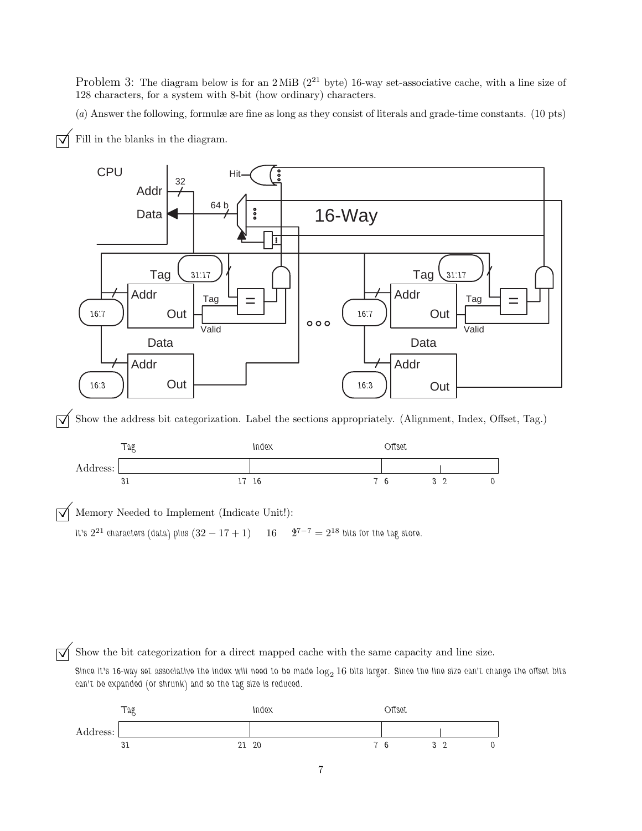Problem 3: The diagram below is for an 2 MiB  $(2^{21}$  byte) 16-way set-associative cache, with a line size of 128 characters, for a system with 8-bit (how ordinary) characters.

(*a*) Answer the following, formulæ are fine as long as they consist of literals and grade-time constants. (10 pts)



 $\overrightarrow{\mathsf{q}}$  Fill in the blanks in the diagram.

 $\vec{\mathcal{A}}$  Show the address bit categorization. Label the sections appropriately. (Alignment, Index, Offset, Tag.)



 $\sqrt{\phantom{0}}$  Memory Needed to Implement (Indicate Unit!):<br>It's 2<sup>21</sup> characters (data) plus  $(32-17+1)$  16  $\frac{2^{7-7}}{2} = 2^{18}$  bits for the tag store. *It's*  $2^{21}$  *characters (data) plus*  $(32 - 17 + 1)$  16

 $\overrightarrow{\mathcal{A}}$  Show the bit categorization for a direct mapped cache with the same capacity and line size.

Since it's 16-way set associative the index will need to be made  $\log_2 16$  bits larger. Since the line size can't change the offset bits *can't be expanded (or shrunk) and so the tag size is reduced.*

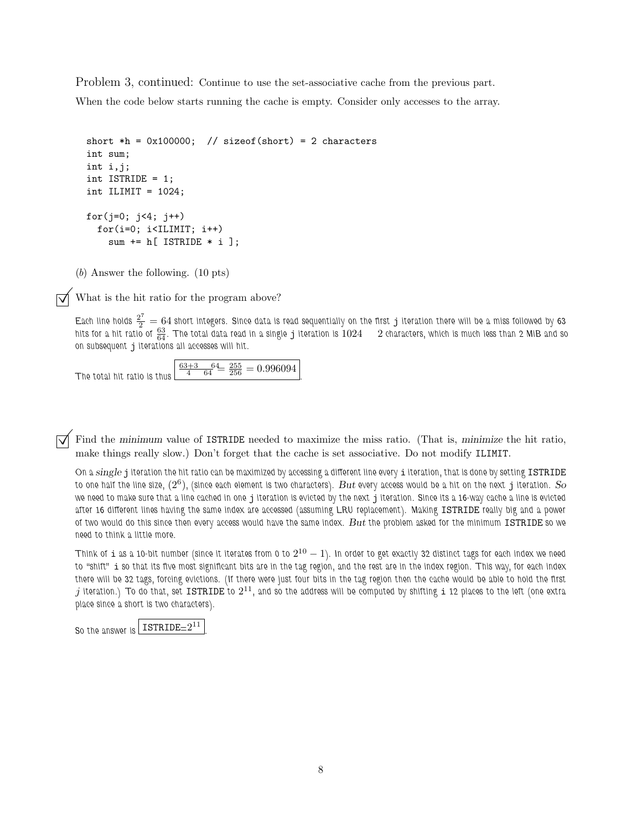Problem 3, continued: Continue to use the set-associative cache from the previous part.

When the code below starts running the cache is empty. Consider only accesses to the array.

```
short *h = 0x100000; // sizeof(short) = 2 characters
int sum;
int i,j;
int ISTRIDE = 1;
int ILIMIT = 1024;
for(j=0; j<4; j++)for(i=0; i<IILMIT; i++)sum += h[ ISTRIDE * i ];
```
(*b*) Answer the following. (10 pts)

 $\triangledown$  What is the hit ratio for the program above?

Each line holds  $\frac{2^7}{2} = 64$  short integers. Since data is read sequentially on the first  $j$  iteration there will be a miss followed by 63 *hits for a hit ratio of* <sup>63</sup> <sup>64</sup> *. The total data read in a single* j *iteration is* 1024 2 *characters, which is much less than 2 MiB and so on subsequent* j *iterations all accesses will hit.*

*The total hit ratio is thus*  $\frac{63+3}{4}$   $\frac{64}{64}$   $\frac{255}{256}$  = 0.996094

©Find the *minimum* value of ISTRIDE needed to maximize the miss ratio. (That is, *minimize* the hit ratio, make things really slow.) Don't forget that the cache is set associative. Do not modify ILIMIT.

*On a single* j *iteration the hit ratio can be maximized by accessing a different line every* i *iteration, that is done by setting* ISTRIDE *to one half the line size,* (2<sup>6</sup>)*, (since each element is two characters). But every access would be a hit on the next* j *iteration. So we need to make sure that a line cached in one* j *iteration is evicted by the next* j *iteration. Since its a 16-way cache a line is evicted after 16 different lines having the same index are accessed (assuming LRU replacement). Making* ISTRIDE *really big and a power of two would do this since then every access would have the same index. But the problem asked for the minimum* ISTRIDE *so we need to think a little more.*

*Think of* <sup>i</sup> *as a 10-bit number (since it iterates from 0 to* <sup>2</sup><sup>10</sup> <sup>−</sup> <sup>1</sup>*). In order to get exactly 32 distinct tags for each index we need to "shift"* i *so that its five most significant bits are in the tag region, and the rest are in the index region. This way, for each index there will be 32 tags, forcing evictions. (If there were just four bits in the tag region then the cache would be able to hold the first*  $j$  iteration.) To do that, set ISTRIDE to  $2^{11}$ , and so the address will be computed by shifting i 12 places to the left (one extra *place since a short is two characters).*

*So the answer is* ISTRIDE*=*2<sup>11</sup>

*.*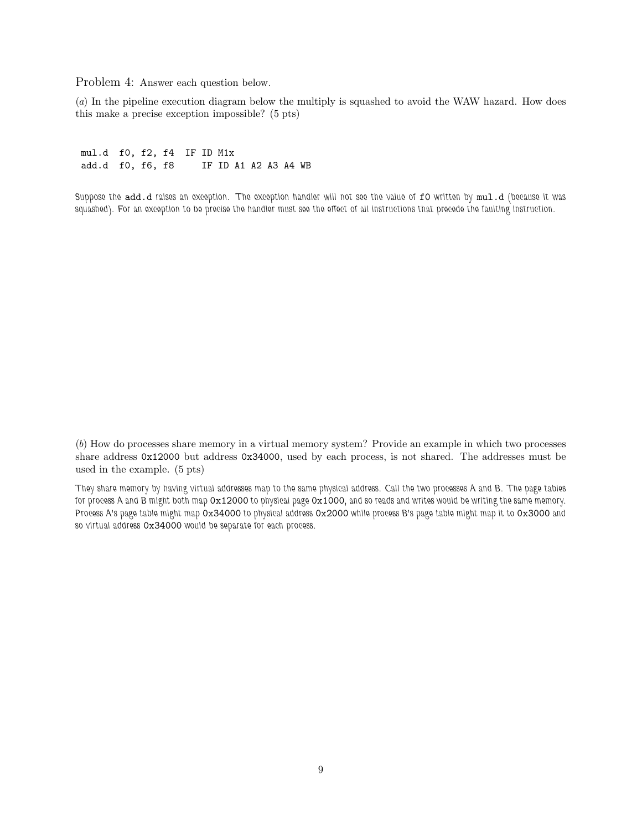Problem 4: Answer each question below.

(*a*) In the pipeline execution diagram below the multiply is squashed to avoid the WAW hazard. How does this make a precise exception impossible? (5 pts)

mul.d f0, f2, f4 IF ID M1x add.d f0, f6, f8 IF ID A1 A2 A3 A4 WB

*Suppose the* add.d *raises an exception. The exception handler will not see the value of* f0 *written by* mul.d *(because it was squashed). For an exception to be precise the handler must see the effect of all instructions that precede the faulting instruction.*

(*b*) How do processes share memory in a virtual memory system? Provide an example in which two processes share address 0x12000 but address 0x34000, used by each process, is not shared. The addresses must be used in the example. (5 pts)

*They share memory by having virtual addresses map to the same physical address. Call the two processes A and B. The page tables for process A and B might both map* 0x12000 *to physical page* 0x1000*, and so reads and writes would be writing the same memory. Process A's page table might map* 0x34000 *to physical address* 0x2000 *while process B's page table might map it to* 0x3000 *and so virtual address* 0x34000 *would be separate for each process.*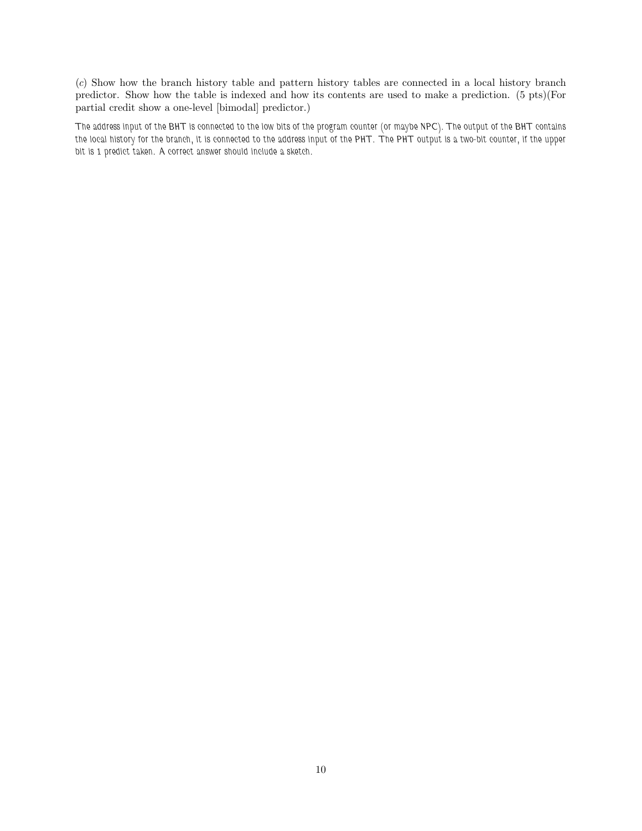(*c*) Show how the branch history table and pattern history tables are connected in a local history branch predictor. Show how the table is indexed and how its contents are used to make a prediction. (5 pts)(For partial credit show a one-level [bimodal] predictor.)

*The address input of the BHT is connected to the low bits of the program counter (or maybe NPC). The output of the BHT contains the local history for the branch, it is connected to the address input of the PHT. The PHT output is a two-bit counter, if the upper bit is 1 predict taken. A correct answer should include a sketch.*